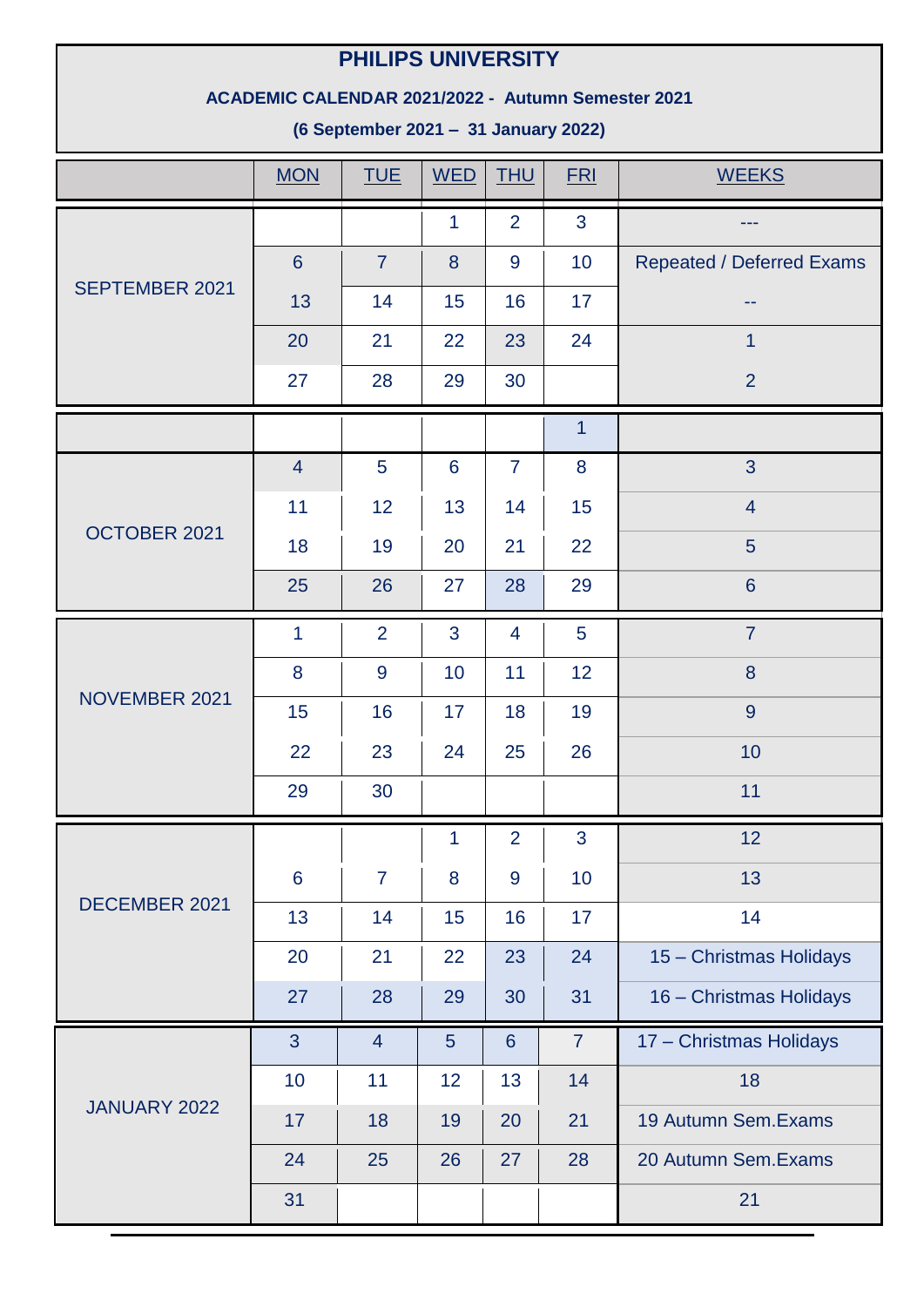## **PHILIPS UNIVERSITY**

## **ACADEMIC CALENDAR 2021/2022 - Autumn Semester 2021**

**(6 September 2021 – 31 January 2022)**

|                       | <b>MON</b>      | <b>TUE</b>     | <b>WED</b>     | <b>THU</b>      | <b>FRI</b>       | <b>WEEKS</b>              |
|-----------------------|-----------------|----------------|----------------|-----------------|------------------|---------------------------|
|                       |                 |                | $\mathbf{1}$   | $\overline{2}$  | $\overline{3}$   |                           |
|                       | $6\phantom{1}6$ | $\overline{7}$ | 8              | 9               | 10               | Repeated / Deferred Exams |
| <b>SEPTEMBER 2021</b> | 13              | 14             | 15             | 16              | 17               | --                        |
|                       | 20              | 21             | 22             | 23              | 24               | $\overline{1}$            |
|                       | 27              | 28             | 29             | 30              |                  | $\overline{2}$            |
|                       |                 |                |                |                 | 1                |                           |
|                       | $\overline{4}$  | $\overline{5}$ | $6\phantom{1}$ | $\overline{7}$  | $\boldsymbol{8}$ | 3                         |
|                       | 11              | 12             | 13             | 14              | 15               | $\overline{4}$            |
| OCTOBER 2021          | 18              | 19             | 20             | 21              | 22               | 5                         |
|                       | 25              | 26             | 27             | 28              | 29               | $6\phantom{1}$            |
|                       | $\overline{1}$  | $\overline{2}$ | 3              | $\overline{4}$  | 5                | $\overline{7}$            |
|                       | 8               | 9              | 10             | 11              | 12               | $\boldsymbol{8}$          |
| NOVEMBER 2021         | 15              | 16             | 17             | 18              | 19               | $\overline{9}$            |
|                       | 22              | 23             | 24             | 25              | 26               | 10                        |
|                       | 29              | 30             |                |                 |                  | 11                        |
|                       |                 |                | 1              | $\overline{2}$  | 3                | 12                        |
|                       | $6\phantom{1}6$ | $\overline{7}$ | 8              | 9               | 10               | 13                        |
| DECEMBER 2021         | 13              | 14             | 15             | 16              | 17               | 14                        |
|                       | 20              | 21             | 22             | 23              | 24               | 15 - Christmas Holidays   |
|                       | 27              | 28             | 29             | 30              | 31               | 16 - Christmas Holidays   |
| JANUARY 2022          | $\overline{3}$  | $\overline{4}$ | 5 <sup>5</sup> | $6\overline{6}$ | $\overline{7}$   | 17 - Christmas Holidays   |
|                       | 10              | 11             | 12             | 13              | 14               | 18                        |
|                       | 17              | 18             | 19             | 20              | 21               | 19 Autumn Sem. Exams      |
|                       | 24              | 25             | 26             | 27              | 28               | 20 Autumn Sem. Exams      |
|                       | 31              |                |                |                 |                  | 21                        |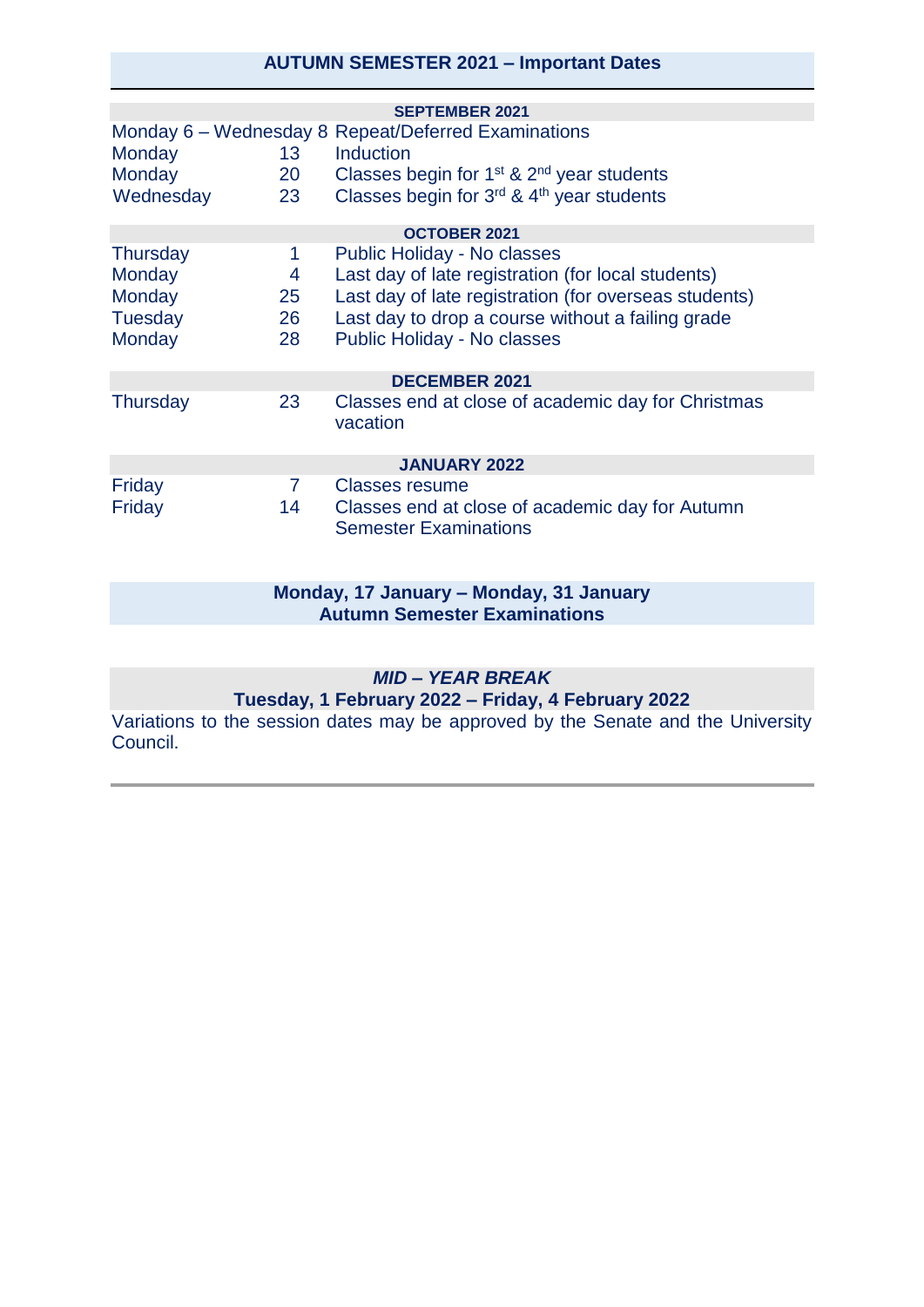### **AUTUMN SEMESTER 2021 – Important Dates**

|                           |                       | <b>SEPTEMBER 2021</b>                                                                                      |  |  |  |  |  |
|---------------------------|-----------------------|------------------------------------------------------------------------------------------------------------|--|--|--|--|--|
| Monday                    | 13                    | Monday 6 – Wednesday 8 Repeat/Deferred Examinations<br>Induction                                           |  |  |  |  |  |
| Monday<br>Wednesday       | 20<br>23              | Classes begin for $1st$ & $2nd$ year students<br>Classes begin for 3rd & 4th year students                 |  |  |  |  |  |
| <b>OCTOBER 2021</b>       |                       |                                                                                                            |  |  |  |  |  |
| <b>Thursday</b><br>Monday | 1<br>4                | Public Holiday - No classes<br>Last day of late registration (for local students)                          |  |  |  |  |  |
| Monday<br><b>Tuesday</b>  | 25 <sub>2</sub><br>26 | Last day of late registration (for overseas students)<br>Last day to drop a course without a failing grade |  |  |  |  |  |
| Monday                    | 28                    | Public Holiday - No classes                                                                                |  |  |  |  |  |
| <b>DECEMBER 2021</b>      |                       |                                                                                                            |  |  |  |  |  |
| <b>Thursday</b>           | 23                    | Classes end at close of academic day for Christmas<br>vacation                                             |  |  |  |  |  |
| <b>JANUARY 2022</b>       |                       |                                                                                                            |  |  |  |  |  |
| Friday                    | $\mathbf{7}$          | <b>Classes resume</b>                                                                                      |  |  |  |  |  |
| Friday                    | 14                    | Classes end at close of academic day for Autumn<br><b>Semester Examinations</b>                            |  |  |  |  |  |

#### **Monday, 17 January – Monday, 31 January Autumn Semester Examinations**

#### *MID – YEAR BREAK*

#### **Tuesday, 1 February 2022 – Friday, 4 February 2022**

Variations to the session dates may be approved by the Senate and the University Council.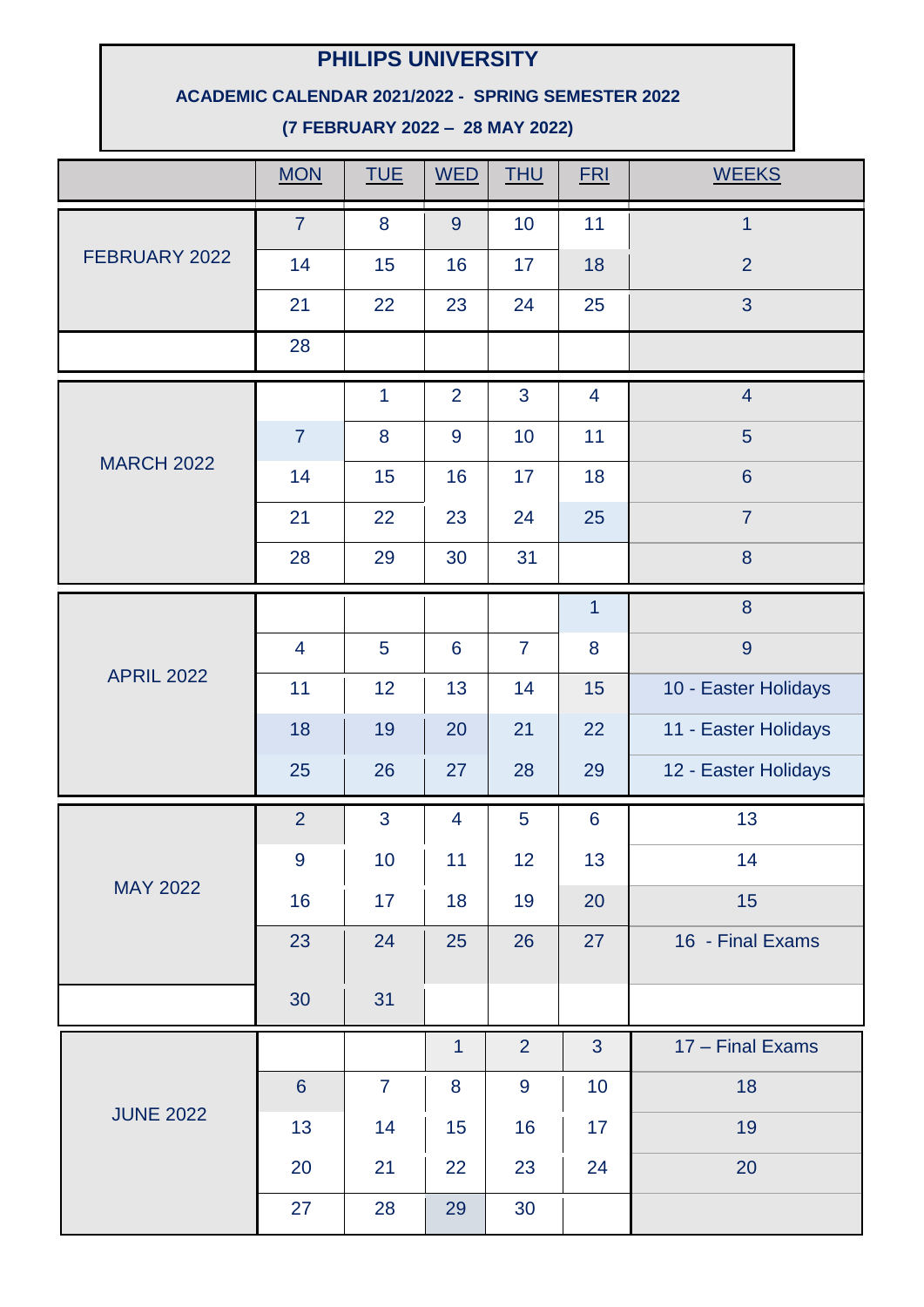# **PHILIPS UNIVERSITY**

### **ACADEMIC CALENDAR 2021/2022 - SPRING SEMESTER 2022**

**(7 FEBRUARY 2022 – 28 MAY 2022)**

|                   | <b>MON</b>     | <b>TUE</b>     | <b>WED</b>     | <b>THU</b>     | <b>FRI</b>      | <b>WEEKS</b>         |
|-------------------|----------------|----------------|----------------|----------------|-----------------|----------------------|
|                   | $\overline{7}$ | 8              | 9              | 10             | 11              | $\overline{1}$       |
| FEBRUARY 2022     | 14             | 15             | 16             | 17             | 18              | $\overline{2}$       |
|                   | 21             | 22             | 23             | 24             | 25              | 3                    |
|                   | 28             |                |                |                |                 |                      |
|                   |                | $\mathbf{1}$   | 2              | 3              | $\overline{4}$  | $\overline{4}$       |
|                   | $\overline{7}$ | 8              | $\overline{9}$ | 10             | 11              | 5                    |
| <b>MARCH 2022</b> | 14             | 15             | 16             | 17             | 18              | $6\phantom{a}$       |
|                   | 21             | 22             | 23             | 24             | 25              | $\overline{7}$       |
|                   | 28             | 29             | 30             | 31             |                 | 8                    |
|                   |                |                |                |                | $\mathbf{1}$    | 8                    |
|                   | 4              | 5              | $6\phantom{1}$ | $\overline{7}$ | 8               | $\overline{9}$       |
| <b>APRIL 2022</b> | 11             | 12             | 13             | 14             | 15              | 10 - Easter Holidays |
|                   | 18             | 19             | 20             | 21             | 22              | 11 - Easter Holidays |
|                   | 25             | 26             | 27             | 28             | 29              | 12 - Easter Holidays |
|                   | $\overline{2}$ | 3              | $\overline{4}$ | 5              | $6\phantom{1}6$ | 13                   |
|                   | 9              | 10             | 11             | 12             | 13              | 14                   |
| <b>MAY 2022</b>   | 16             | 17             | 18             | 19             | 20              | 15                   |
|                   | 23             | 24             | 25             | 26             | 27              | 16 - Final Exams     |
|                   | 30             | 31             |                |                |                 |                      |
| <b>JUNE 2022</b>  |                |                | $\mathbf{1}$   | $\overline{2}$ | 3               | 17 - Final Exams     |
|                   | $6\phantom{1}$ | $\overline{7}$ | 8              | 9              | 10              | 18                   |
|                   | 13             | 14             | 15             | 16             | 17              | 19                   |
|                   | 20             | 21             | 22             | 23             | 24              | 20                   |
|                   | 27             | 28             | 29             | 30             |                 |                      |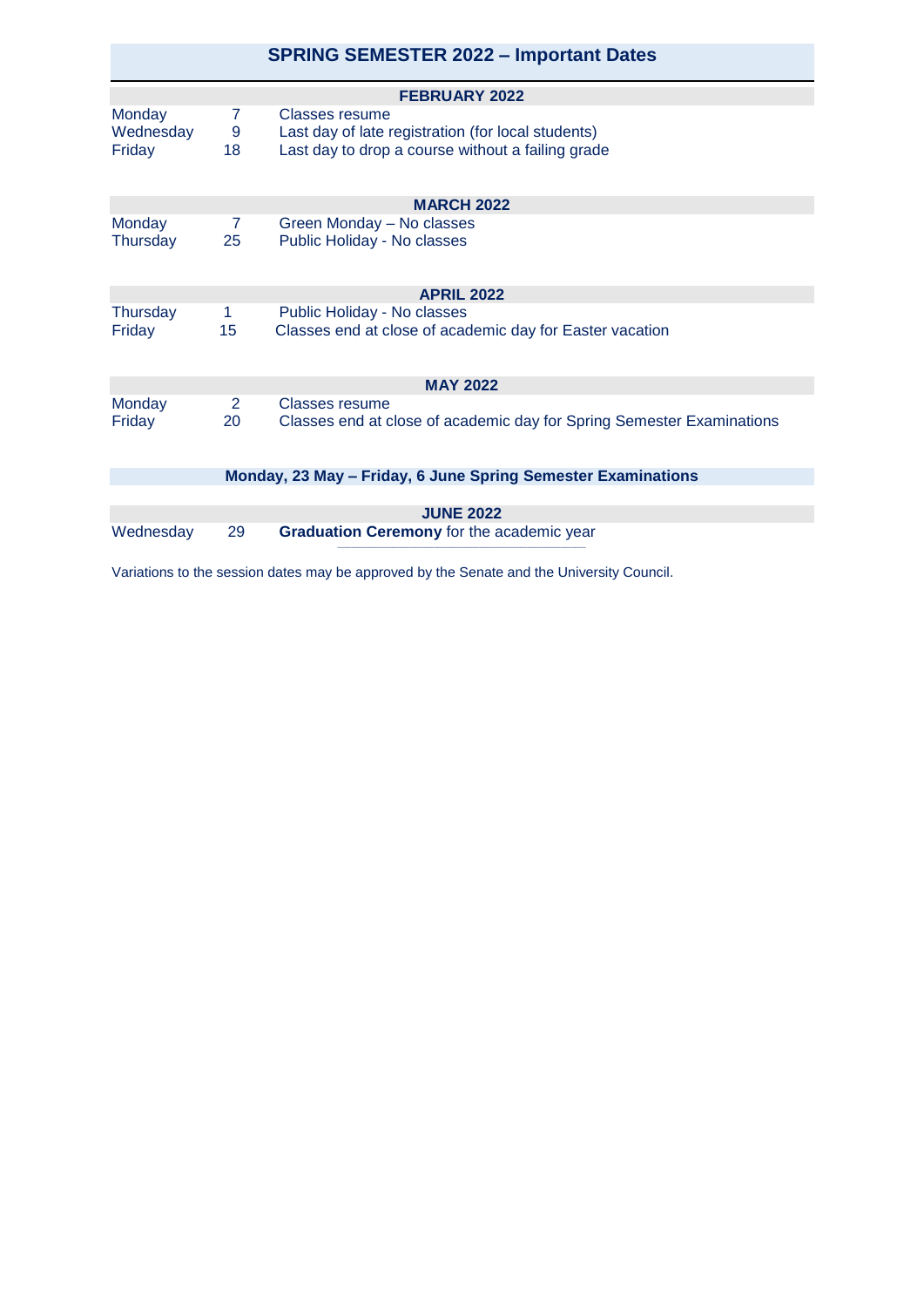|                                                              |                      | <b>SPRING SEMESTER 2022 - Important Dates</b>                                                                             |  |  |  |  |  |
|--------------------------------------------------------------|----------------------|---------------------------------------------------------------------------------------------------------------------------|--|--|--|--|--|
| <b>FEBRUARY 2022</b>                                         |                      |                                                                                                                           |  |  |  |  |  |
| <b>Monday</b><br>Wednesday<br>Friday                         | 7<br>9<br>18         | Classes resume<br>Last day of late registration (for local students)<br>Last day to drop a course without a failing grade |  |  |  |  |  |
| <b>MARCH 2022</b>                                            |                      |                                                                                                                           |  |  |  |  |  |
| <b>Monday</b><br>Thursday                                    | $\overline{7}$<br>25 | Green Monday - No classes<br>Public Holiday - No classes                                                                  |  |  |  |  |  |
|                                                              |                      | <b>APRIL 2022</b>                                                                                                         |  |  |  |  |  |
| Thursday<br>Friday                                           | $\mathbf{1}$<br>15   | Public Holiday - No classes<br>Classes end at close of academic day for Easter vacation                                   |  |  |  |  |  |
| <b>MAY 2022</b>                                              |                      |                                                                                                                           |  |  |  |  |  |
| Monday<br>Friday                                             | $\overline{2}$<br>20 | Classes resume<br>Classes end at close of academic day for Spring Semester Examinations                                   |  |  |  |  |  |
| Monday, 23 May – Friday, 6 June Spring Semester Examinations |                      |                                                                                                                           |  |  |  |  |  |
|                                                              |                      |                                                                                                                           |  |  |  |  |  |
| <b>JUNE 2022</b>                                             |                      |                                                                                                                           |  |  |  |  |  |
| Wednesday                                                    | 29                   | Graduation Ceremony for the academic year                                                                                 |  |  |  |  |  |

Variations to the session dates may be approved by the Senate and the University Council.